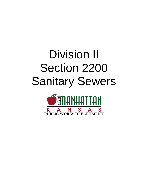# Division II Section 2200 Sanitary Sewers

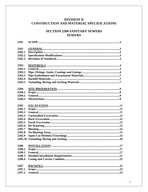# **DIVISION II** CONSTRUCTION AND MATERIAL SPECIFICATIONS

# **SECTION 2200 SANITARY SEWERS SEWERS**

| 2201    |  |
|---------|--|
| 2202    |  |
| 2202.1  |  |
| 2202.2  |  |
| 2202.3  |  |
|         |  |
| 2203    |  |
| 2203.1  |  |
| 2203.2  |  |
| 2203.3  |  |
| 2203.4  |  |
| 2203.5  |  |
|         |  |
| 2204    |  |
| 2204.1  |  |
| 2204.2  |  |
| 2204.3  |  |
|         |  |
| 2205    |  |
| 2205.1  |  |
| 2205.2  |  |
| 2205.3  |  |
| 2205.4  |  |
| 2205.5  |  |
| 2205.6  |  |
| 2205.7  |  |
| 2205.8  |  |
| 2205.9  |  |
| 2205.10 |  |
|         |  |
| 2206    |  |
| 2206.1  |  |
| 2206.2  |  |
| 2206.3  |  |
| 2206.4  |  |
|         |  |
| 2207    |  |
| 2207.1  |  |
| 2207.2  |  |
|         |  |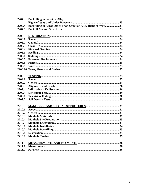| 2207.3 | <b>Backfilling in Street or Alley</b>                          |
|--------|----------------------------------------------------------------|
|        |                                                                |
| 2207.4 | Backfilling in Areas Other Than Street or Alley Right-of-Way23 |
| 2207.5 |                                                                |
|        |                                                                |
| 2208   |                                                                |
| 2208.1 |                                                                |
| 2208.2 |                                                                |
| 2208.3 |                                                                |
| 2208.4 |                                                                |
| 2208.5 |                                                                |
| 2208.6 |                                                                |
| 2208.7 |                                                                |
| 2208.8 |                                                                |
| 2208.9 |                                                                |
|        |                                                                |
|        |                                                                |
| 2209   |                                                                |
| 2209.1 |                                                                |
| 2209.2 |                                                                |
| 2209.3 |                                                                |
| 2209.4 |                                                                |
| 2209.5 |                                                                |
| 2209.6 |                                                                |
| 2209.7 |                                                                |
|        |                                                                |
| 2210   |                                                                |
| 2210.1 |                                                                |
| 2210.2 |                                                                |
| 2210.3 |                                                                |
| 2210.4 |                                                                |
| 2210.5 |                                                                |
| 2210.6 |                                                                |
| 2210.7 |                                                                |
| 2210.8 |                                                                |
| 2210.9 |                                                                |
|        |                                                                |
| 2211   |                                                                |
| 2211.1 |                                                                |
| 2211.2 |                                                                |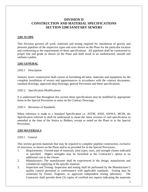# **DIVISION II CONSTRUCTION AND MATERIAL SPECIFICATIONS SECTION 2200 SANITARY SEWERS**

#### **2201 SCOPE**

This Division governs all work, materials and testing required for installation of gravity and pressure pipelines of the respective types and sizes shown on the Plans for the particular location and conforming to the requirements of these specifications. All pipelines shall be constructed to proper line and grade as shown on the Plans and shall result in an unobstructed, smooth and uniform conduit.

#### . **2202 GENERAL**

2202.1 Description

Sanitary sewer construction shall consist of furnishing all labor, materials and equipment for the complete installation of sewers and appurtenances in accordance with the contract documents, standard drawings, approved shop drawings, general Provisions and these specifications.

2202.2 Specification Modifications

It is understood that throughout this section these specifications may be modified by appropriate items in the Special Provisions or notes on the Contract Drawings.

2202.3 Revisions of Standards

When reference is made to a Standard Specification i.e. ASTM, ANSI, AWWA, MCIB, the Specification referred to shall be understood to mean the latest revision of said specification as amended at the time of the Notice to Bidders, except as noted on the Plans or in the Special **Provisions.** 

# **2203 MATERIALS**

#### 2203.1 General

This section governs materials that may be required to complete pipeline construction, exclusive of structures, as shown on the Plans and/or as provided for in the Special Provisions.

- 1. Requirements: Furnish pipe of materials, joint types, sizes, and strength classes indicated or specified. Higher strengths may be furnished at the Contractor's option at no additional cost to the Owner.
- 2. Manufacturer: The manufacturer shall be experienced in the design, manufacture and commercial supplying of the specific material.
- 3. Inspection and Testing: Inspection and testing shall be performed by the Manufacturer's quality control personnel in conformance with applicable standards. Testing may be witnessed by Owner, Engineer, or approved independent testing laboratory. The Contractor shall provide three (3) copies of certified test reports indicating the materials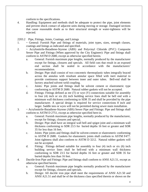conform to the specifications.

4. Handling: Equipment and methods shall be adequate to protect the pipe, joint elements and prevent shock contact of adjacent units during moving or storage. Damaged sections that cause reasonable doubt as to their structural strength or water-tightness will be rejected.

2203.2 Pipe, Fittings, Joints, Coatings, and Linings

- 1. ~ General: Furnish Pipe and fittings of materials, joint types, sizes, strength classes, coatings and linings as indicated and specified.
- 2. ~ Acrylonitrile-Butadiene-Styrene (ABS) and Polyvinyl Chloride (PVC) Composite Sewer Pipe and Fittings (When approved by the City Engineer): Pipe and fittings shall conform to ASTM D 2680, except as otherwise specified herein.
	- a. General: Furnish maximum pipe lengths, normally produced by the manufacturer except for fittings, closures and specials. All field cuts that result in an exposed end section shall be sealed in accordance with the manufacturers' recommendation.
	- b. Design: Pipe shall consist of two concentric thermoplastic tubes integrally braced across the annulus with resultant annular space filled with inert material to provide continuous support between inner and outer tubes. Bell-end shall be factory attached solvent weld coupling.
	- c. Joints: Pipe joints and fittings shall be solvent cement or elastromeric type conforming to ASTM D 2680. Natural rubber gaskets will not be accepted.
	- d. Fittings: Fittings defined as tee (T) or wye (Y) connections suitable for assembly to four (4) inch or six (6) inch building service lines shall be bell end with a minimum wall thickness conforming to SDR 35 and shall be provided by the pipe manufacturer. A special design is required for service connections 8 inch and larger. Saddle tees or wyes will not be permitted during sewer main installation.
- 3. ~ Acrylonitrile-Butadiene-Styrene (ABS) Sewer Pipe and Fittings: Pipe and fittings shall conform to ASTM D 2751, except as otherwise specified here-in.
	- a. General: Furnish maximum pipe lengths, normally produced by the manufacturer, except for fittings, closures and special.
	- b. Design: Pipe shall have an integral wall bell and spigot joint and a minimum wall thickness conforming to SDR 23.5 for buried depths 16 feet or greater and SDR 35 for less than 16 feet.
	- c. Joints: Pipe joints and fittings shall be solvent-cement or elastromeric conforming to ASTM D 2680. Gaskets for elastomeric joints shall conform to ASTM F477. Joint tightness shall also conform to ASTM D 3212. Natural rubber gaskets will not be accepted.
	- d. Fitting: Fittings defined suitable for assembly to four (4) inch or six (6) inch building service lines shall be bell-end with a minimum wall thickness conforming to SDR 23.5 for buried depths 16 feet or greater and SDR 35 for buried depths less than 16 feet.
- 4. Ductile-Iron Pipe and Fittings: Pipe and fittings shall conform to ANSI A21.51, except as otherwise specified herein.
	- a. General: Furnish maximum pipe lengths normally produced by the manufacturer except for fittings, closures and specials.
	- b. Design: All ductile iron pipe shall meet the requirements of ANSI A21.50 and ANSI A21.51 and shall be of the thickness class specified therein or shown on the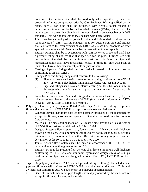drawings. Ductile iron pipe shall be used only when specified by plans or proposal and must be approved prior by City Engineer. When specified by the plans, ductile iron pipe shall be furnished with flexible joints capable of deflecting a minimum of twelve and one-half degrees  $(12-1/2)$ . Deflection of a gravity sanitary sewer line direction is not considered to be acceptable by KDHE standards. This type of application may be used with Force Mains

- c. Joints: mechanical and push-on joints for pipe and fittings shall conform to the requirements of ANSI A21.11. Flanged joints for ductile iron pipe and fittings shall conform to the requirements of A21.10. Gaskets shall be neoprene or other synthetic rubber material. Natural rubber gaskets will not be acceptable.
- d. Fittings: Fittings shall be in accordance with ANSI/AWWA C 110 and shall have a pressure rating of not less than that specified for the pipe. Fittings used with ductile iron pipe shall be ductile iron or cast iron. Fittings for pipe with mechanical joints shall have mechanical joints. Fittings for pipe with push-on joints shall have either mechanical joints or push-on joints.
- e. Castings: Pipe and fittings shall be furnished with exterior bituminous coating conforming to ANSI A 21.51.
- f. Linings: Pipe and fitting linings shall conform to the following:
	- (1) Pipe shall have an interior cement-mortar lining conforming to ANSI/A 21.4 or 40 mil polyethylene lining in accordance with ASTM D 1248.
	- (2) Pipe and fittings shall have an interior coating not less than one (1) mil in thickness which conforms to all appropriate requirements for seal coat in ANSI/A 21.4.
- g. Polyethlene Encasement: Pipe and fittings shall be installed with a polyethylene tube encasement having a thickness of 0.008" (8mils) and conforming to ASTM D-1248, Type 1, Class C, Grade E-1 material.
- 5. Polyvinyl chloride (PVC) Pressure Rated Plastic Pipe (SDR) and Fittings: Pipe and fittings shall conform to ASTM D2241, except as otherwise specified herein.
	- a. General: Furnish maximum pipe lengths normally produced by the manufacturer, except for fittings, closures and specials. Pipe shall be used only for pressure flow systems.
	- b. Materials: The pipe shall be made of OVC plastic pipe having a cell classification of 12454 B or 12454 C as defined in ASTM D 1784.
	- c. Design: Pressure flow systems, i.e., force mains, shall have the wall thickness shown on the plans, with a minimum wall thickness not less than SDR 32.5 with a minimum burst pressure not less than 400 psi conforming to pipe materials designation codes PVC 1120, PVC 1220, or PVC 2120.
	- d. Joints: Pressure flow systems shall be joined in accordance with ASTM D 3139 with particular attention given to Section 5.3.
	- e. Fittings: Fittings for pressure flow systems shall have a minimum wall thickness conforming to SDR 32.5 and minimum hydrostatic design stress of 400 psi conforming to pipe materials designation codes PVC 1120, PVC 1220, or PVC 2120.
- 6. Type PSM polyvinyl chloride (PVC) Sewer Pipe and Fittings: 8 through 15 inch diameter pipe and fittings shall conform to ASTM D 3034 and pipe having diameter 18" through 27 inch shall conform to ASTM F679 except as otherwise specified herein.
	- a. General: Furnish maximum pipe lengths normally produced by the manufacturer except for fittings, closures, and specials.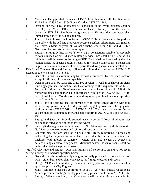- b. Materials: The pipe shall be made of PVC plastic having a cell classification of 12454 B or 12454 C or 13364 B as defined as ASTM D 1784.
- c. Design: Pipe shall have an integral bell and spigot joint. Wall thickness shall be SDR 35, SDR 26, or SDR 21 as shown on plans. If for any reason the depth of cover on SDR 35 pipe becomes greater than 15 feet, the contractor shall immediately notify the design engineer.
- d. Joints: Joint tightness shall conform to ASTM D 3212. Joints shall be push-on type only with the bell-end grooved to receive a gasket. Elastomeric seal (gasket) shall have a basic polymer of synthetic rubber conforming to ASTM F 477. Natural rubber gaskets will not be accepted.
- e. Fittings: Fittings defined as tee (T) or wye (Y) connections suitable for assembly to four (4) inch or six (6) inch building service lines shall be bell-end with a minimum wall thickness conforming to SDR 35 and shall be furnished by the pipe manufacturer. A special design is required for service connections 8 inches and larger. Saddle tees or wyes will not be permitted during sewer main installation.
- 7. Reinforced Concrete Pipe and Fittings: Pipe and fittings shall conform to ASTM C 76 except as otherwise specified herein.
	- a. General: Furnish maximum lengths normally produced by the manufacturer except for fittings, closures and specials.
	- b. Design: Pipe shall be Class III, Class IV, or Class V, wall B as shown on plans. Fine aggregate shall be natural sand conforming to the requirements of MCIB Section 4 – Materials. Reinforcement may be circular or elliptical. Elliptically reinforced pipe shall be marked in accordance with Section 17.2, ASTM C 76 for correct installation. Modified or special designs are prohibited unless so specified in the Special Provisions.
	- c. Joints: Pipe and fittings shall be furnished with either spigot groove type joint with O-ring gasket or steel end joint with spigot groove and O-ring gasket conforming to ASTM C 361 and ASTM C 433. The basic polymer for O-ring gaskets shall be synthetic rubber and shall conform to ASTM C 361 and ASTM C 433.
	- d. Fittings and Specials: Provide strength equal to design D-loads of adjacent pipe and be fabricated as one of the following types:
	- (1) Steel cylinder segments not less than U.S. No. 16 gauge lined with three-fourths (3.4) inch concrete or mortar and reinforced concrete exterior.
	- (2) Concrete pipe sections shall be cut while still green, reinforcing exposed and welded together at junctions and miters. Splice shall be built up to nominal wall thickness with mortar or concrete. Miters shall not exceed 30 degrees at deflection angles between segments. Minimum center line curve radius shall not be less than twice the pipe diameter.
- 8. Vitrified Clay Pipe and Fittings: Pipe and fittings shall conform to ASTM C 700 Extra Strength except as otherwise specified herein.
	- a. General: Furnish maximum pipe lengths normally produced by the manufacturer with either bell-end or plain-end except for fittings, closures and specials.
	- b. Design: VCP shall be used only when specified by plans or proposal and must be approved prior by City Engineer.
	- c. Joints: All pipe joints shall conform to ASTM C 425 with synthetic rubber seals. All compression couplings for clay plain-end pipe shall conform to ASTM C-594.
	- d. Fittings: Where specified, the Contractor shall provide fittings suitable for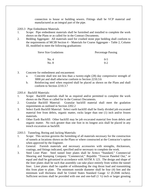connection to house or building sewers. Fittings shall be VCP material and manufactured as an integral part of the pipe.

- 2203.3 Pipe Embedment Materials
- 1. Scope: Pipe embedment materials shall be furnished and installed to complete the work shown on the Plans or as called for in the Contract Documents.
- 2. Bedding Aggregate: All materials used for crushed stone pipe bedding shall conform to the requirements of MCIB Section 4 – Materials for Coarse Aggregate – Table 2, Column III, modified to meet the following graduations:

| Sieve Size Gradations | <b>Percentage Passing</b> |
|-----------------------|---------------------------|
| No. 4                 | $0 - 5$                   |
| No. 8                 | $0 - 2$                   |

- 3. Concrete for embedment and encasement:
	- a. Concrete shall test not less than a twenty-eight (28) day compressive strength of 3000 psi and shall otherwise conform to Section 2210.3.6
	- b. Reinforcing steel when required shall be placed as shown on the Plans and shall conform to Section 2210.3.7

2203.4 Backfill Materials:

- 1. Scope: Backfill materials shall be as required and/or permitted to complete the work shown on the Plans or called for in the Contract Documents.
- 2. Granular Backfill Material: Granular backfill material shall meet the gradation requirements as outlined in Section 2202.2
- 3. Select Earth Backfill Material: Select earth backfill shall be finely divided job excavated material free from debris, organic matter, rocks larger than one (1) inch and/or frozen materials.
- 4. Other Earth Backfill: Other backfill may be job excavated material free from debris and organic matter. No rock greater than one foot in its longest axis shall be placed in any trench excavation as backfill.

2203.5 Tunneling, Boring and Jacking Materials:

- 1. Scope: This section governs the furnishing of all materials necessary for the construction of tunnels at locations shown on the Plans or where constructed at the Contractor's option when approved by the Engineer.
- 2. General: Furnish materials and necessary accessories with strengths, thicknesses, coatings, and fittings indicated, specified and/or necessary to complete the work.
- 3. Steel Liner Plate: Steel tunnel liner plates shall be Armco "Standard," Commercial Shearing and Stamping Company "Commercial," Republic "Truscon Paneled Out," or equal and shall be galvanized in accordance with ASTM A 123. The design and shape of the liner plates shall be such that assembly can take place entirely from within the tunnel liner. Liner plates shall be capable of withstanding the ring thrust load and transmitting this from plate to plate. The minimum outside diameter shall be four (4) feet and the minimum wall thickness shall be United States Standard Gauge 12 (0.2046 inches). Sufficient sections shall be provided with one and one-half  $(1 \frac{1}{2})$  inch or larger grouting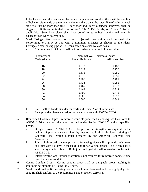holes located near the centers so that when the plates are installed there will be one line of holes on either side of the tunnel and one at the crown; the lower line of holes on each side shall not be more than five (5) feet apart and unless otherwise approved, shall be staggered. Bolts and nuts shall conform to ASTM A 153, A 307, A 325 and A 449 as applicable. Steel liner plates shall have bolted joints in both longitudinal joints in adjacent rings when assembling.

4. Steel Casings: Steel casings for bored or jacked construction shall be steel pipe conforming to ASTM A 139 with a minimum diameter as shown on the Plans. Corrugated steel casing pipe will be considered on a case-by-case basis.

a. Minimum wall thickness shall be in accordance with the following table:

| Diameter of   | Nominal Wall Thickness-Inches |                |  |  |  |  |  |
|---------------|-------------------------------|----------------|--|--|--|--|--|
| Casing-Inches | <b>Under Railroads</b>        | All Other Uses |  |  |  |  |  |
| 16            | 0.312                         | 0.188          |  |  |  |  |  |
| 18            | 0.312                         | 0.250          |  |  |  |  |  |
| 20            | 0.375                         | 0.250          |  |  |  |  |  |
| 22            | 0.375                         | 0.250          |  |  |  |  |  |
| 24            | 0.406                         | 0.281          |  |  |  |  |  |
| 26            | 0.438                         | 0.281          |  |  |  |  |  |
| 28            | 0.469                         | 0.312          |  |  |  |  |  |
| 30            | 0.469                         | 0.312          |  |  |  |  |  |
| 32            | 0.500                         | 0.312          |  |  |  |  |  |
| 34            | 0.500                         | 0.312          |  |  |  |  |  |
| 36            | 0.500                         | 0.344          |  |  |  |  |  |
|               |                               |                |  |  |  |  |  |

b. Steel shall be Grade B under railroads and Grade A on all other uses.

c. Steel pipe shall have welded joints in accordance with AWWA C 206.

- 5. Reinforced Concrete Pipe: Reinforced concrete pipe used as casing shall conform to ASTM C 76 except as otherwise specified under Section 2203.2.7. and as specified herein.
	- a. Design: Provide ASTM C 76 circular pipe of the strength class required for the jacking of pipe when determined by method set forth in the latest printing of Concrete Pipe Design Manual prepared by the American Concrete Pipe Association.
	- b. Joints: Reinforced concrete pipe used for casing pipe shall be provided with steel end joint with a groove in the spigot end for an O-ring gasket. The O-ring gasket shall be synthetic rubber. Both joint and gasket shall otherwise conform to ASTM C 361.
	- c. Interior Protection: Interior protection is not required for reinforced concrete pipe used for casing conduit.
- 6. Casing Conduit Grout: Casing conduit grout shall be pumpable grout resulting in minimum set strength of 400 psi. in 28 days.
- 7. Sand: sand used as fill in casing conduits shall be a clean sand and thoroughly dry. All sand fill shall conform to the requirements under Section 2210.3.6.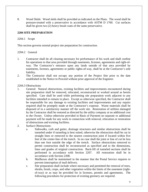8. Wood Skids: Wood skids shall be provided as indicated on the Plans. The wood shall be pressure-treated with a preservative in accordance with ASTM D 1760. Cut surfaces shall be given two (2) heavy brush coats of the same preservative.

#### **2204 SITE PREPARATION**

#### 2204.1 Scope

This section governs normal project site preparation for construction.

#### 2204.2 General

- 1. Contractor shall do all clearing necessary for performance of his work and shall confine his operations to that area provided through easements, licenses, agreements and right-ofway. The Contractor's entrance upon any lands outside of that area provided by easements, licenses, agreements or public rights-of-way, shall be at the Contractor's sole liability.
- 2. The Contractor shall not occupy any portion of the Project Site prior to the date established in the Notice to Proceed without prior approval of the Engineer.

2204.3 Obstructions

- 1. General: Natural obstructions, existing facilities and improvements encountered during site preparation shall be removed, relocated, reconstructed or worked around as herein specified. Care shall be used while performing site preparation work adjacent to any facilities intended to remain in place. Except as otherwise specified, the Contractor shall be responsible for any damage to existing facilities and improvements and any repairs required shall be promptly made at the Contractor's expense. Waste materials shall be disposed of in a satisfactory manner off the work site. Restoration of utilities damaged by the Contractor shall be restored as directed by the utility company at no additional cost to the Owner. Unless otherwise provided in Basis of Payment no separate or additional payment will be made for any work in connection with removal, relocation or restoration of obstructions and existing facilities.
- 2. Surface Obstructions:
	- a. Sidewalks, curb and gutter, drainage structures and similar obstructions shall be tunneled under if tunneling is best suited, otherwise the obstruction shall be cut in straight lines or removed to the nearest construction joint if located within five feet of the center-line of the trench. In no case shall the joint or line of cut be less than one foot outside the edge of the trench. Surface obstructions removed to permit construction shall be reconstructed as specified and to the dimensions, lines and grades of original construction. Back-fill of tunneled sections shall be performed in accordance with Section 2207. All restoration shall be in accordance with Section 2208.
	- b. Mailboxes shall be maintained in the manner that the Postal Service requires to prevent interruption of mail delivery.
	- c. Site preparation shall include where necessary and permitted the removal of trees, shrubs, brush, crops, and other vegetation within the limits of the easement (rightof-way) or as may be provided for in licenses, permits and agreements. The following procedures for protection of existing greenery are required.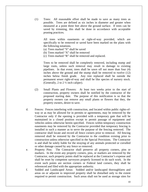(1) Trees: All reasonable effort shall be made to save as many trees as possible. Trees are defined as six inches in diameter and greater when measured at a point three feet above the ground surface. If trees can be saved by trimming, this shall be done in accordance with acceptable pruning practices.

All trees within easements or right-of-way provided, which are specifically to be removed or saved have been marked on the plans with the following notations.

- (a) Trees marked "S" shall be saved
- (b) Trees marked "X" shall be removed
- (c) Trees marked "R" shall be removed and replaced.

Trees to be removed shall be completely removed, including stump and large roots, unless such removal may result in damage to existing pipelines. In that event, trees shall be sawn off not more than four (4) inches above the ground and the stump shall be removed to twelve (12) inches below finish grade. Any tree replaced shall be outside the permanent sewer right-of-way and shall be like species of nursery stock. (Generally, 2 to 2 ½ inch caliper).

- (2) Small Plants and Flowers: At least two weeks prior to the start of construction, property owners shall be notified by the contractor of the proposed starting date. The purpose of this notification is so that the property owners can remove any small plants or flowers that they, the property owners, desire to save.
- d. Fences: Fences interfering with construction, and located within public rights-ofway or as may be allowed for in permits or agreements, may be removed by the Contractor only if the opening is provided with a temporary gate that will be maintained in a closed position except to permit passage of equipment and vehicles unless otherwise herein specified. Fences within temporary construction easements may be removed by the Contractor provided that temporary fencing is installed in such a manner as to serve the purpose of the fencing removed. The contractor shall locate and record all fence corners prior to removal. All fencing removed shall be restored by the Contractor to the condition existing prior to construction unless otherwise specified in the Special Provisions. The Contractor is and shall be solely liable for the straying of any animals protected or corralled or other damage caused by any fence so removed.
- e. Property Pins: The Contractor shall preserve all property corners, pins or markers. In the event any property corners, pins, or markers are removed by the Contractor, such property points shall be replaced at the Contractor's expense and shall be reset by competent surveyors properly licensed to do such work. In the event such points are section corners or Federal land corners, they shall be referenced and filed with the appropriate authority.
- f. Sodded and Landscaped Areas: Sodded and/or landscaped thoroughfares and areas on or adjacent to improved property shall be disturbed only to the extent required to permit construction. Such areas shall not be used as storage sites for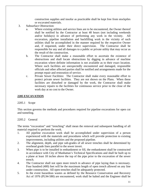construction supplies and insofar as practicable shall be kept free from stockpiles or excavated materials.

- 3. Subsurface Obstruction:
	- a. Where existing utilities and service lines are to be encountered, the Owner thereof shall be notified by the Contractor at least 48 hours (not including weekends and/or holidays) in advance of performing any work in the vicinity. All excavation, pipeline installation and backfilling work in the vicinity of such utilities shall be accomplished in the manner required by the respective Owner and, if requested, under their direct supervision. The Contractor shall be responsible for any and all damages to a public or private utility that may occur as the result of the construction.
	- b. The Contractor shall make a reasonable effort to ascertain the existence of obstructions and shall locate obstructions by digging in advance of machine excavation where definite information is not available as to their exact location. Where such facilities are unexpectedly encountered and damaged, responsible officials and other affected parties shall be notified and arrangements made for the prompt repair and restoration of service.
	- c. Private Sewer Facilities: The Contractor shall make every reasonable effort to protect private sewer facilities. They are not shown on the Plans. When these facilities are disturbed or damaged by the work, the Contractor shall make necessary repairs to the facilities for continuous service prior to the close of the work day at no cost to the Owner.

#### **2205 EXCAVATION**

#### 2205.1 Scope

This section governs the methods and procedures required for pipeline excavations for open cut and tunneling.

#### 2205.2 General

The terms "excavation" and "trenching" shall mean the removal and subsequent handling of all material required to perform the work.

- 1. All pipeline excavation work shall be accomplished under supervision of a person experienced with the materials and procedures which will provide protection to existing improvements, including utilities and the proposed pipeline.
- 2. The alignment, depth, and pipe sub-grades of all sewer trenches shall be determined by overhead grade lines parallel to the sewer invert.
- 3. When pipe is to be installed in embankment or fill, the embankment shall be constructed in accordance with City of Manhattan's Technical Specifications and shall be built up to a plane at least 18 inches above the top of the pipe prior to the excavation of the sewer trench.
- 4. The Contractor shall not open more trench in advance of pipe laying than is necessary. Four hundred (400) feet will be the maximum length of open trench allowed on any line under construction. All open trenches shall be adequately protected.
- 5. In the event hazardous wastes as defined by the Resource Conservation and Recovery Act of 1976 (PL94-580) are encountered, work shall be halted and the Engineer shall be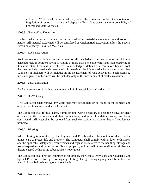notified. Work shall be resumed only after the Engineer notifies the Contractor. Regulation of removal, handling and disposal of hazardous wastes is the responsibility of Federal and State Agencies.

#### 2205.3 Unclassified Excavation

Unclassified excavation is defined as the removal of all material encountered regardless of its nature. All material excavated will be considered as Unclassified Excavation unless the Special Provisions specify Classified Materials.

# 2205.4 Rock Excavation

Rock excavations is defined as the removal of all rock ledges 6 inches or more in thickness, detached rock or boulders having a volume of more than 1 ½ cubic yards and shale occurring in its natural state, head and un-weathered. A rock ledge is defined as a continuous body of rock that may include inter-bedded seams of soft materials. Such inter-bedded soft material less than 12 inches in thickness will be included in the measurement of rock excavation. Such seams 12 inches or greater in thickness will be included only in the measurement of earth excavation.

#### 2205.5 Earth Excavation

An Earth excavation is defined as the removal of all material not defined as rock.

#### 2205.6 De-Watering

 The Contractor shall remove any water that may accumulate or be found in the trenches and other excavations made under the Contract.

The Contractor shall form all dams, flumes or other works necessary to keep the excavation clear of water while the sewers and their foundations, and other foundation works, are being constructed. All water shall be removed from such excavation in a manner that will not damage property.

#### 2205.7 Blasting

When blasting is permitted by the Engineer and Fire Marshall, the Contractor shall use the utmost care to protect life and property. The Contractor shall comply with all laws, ordinances, and the applicable safety code requirements and regulations relative to the handling, storage and use of explosives and protection of life and property, and he shall be responsible for all damage thereto caused by his or his subcontractor's operations.

The Contractor shall provide insurance as required by the General Provisions and Covenants and Special Provisions before performing any blasting. The governing agency shall be notified at least 24 hours before blasting operations begin.

2205.8 No Blasting Areas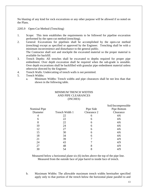No blasting of any kind for rock excavations or any other purpose will be allowed if so noted on the Plans.

2205.9 Open-Cut Method (Trenching)

- 1. Scope: This item establishes the requirements to be followed for pipeline excavation performed by the open-cut method (trenching).
- 2. General: Excavations for pipelines shall be accomplished by the open-cut method (trenching) except as specified or approved by the Engineer. Trenching shall be with a minimum inconvenience and disturbance to the general public. The Contractor shall sort and stockpile the excavated material so the proper material is available for backfill.
- 3. Trench Depths: All trenches shall be excavated to depths required for proper pipe embedment. Over depth excavation shall be required when the sub-grade is unstable. Over depth excavations shall be backfilled with granular pipe embedment material unless otherwise directed by the Engineer.
- 4. Trench Walls: Undercutting of trench walls is not permitted.
- 5. Trench Widths:
	- a. Minimum Widths: Trench widths and pipe clearances shall be not less than that shown in the following table.

#### MINIMUM TRENCH WIDTHS AND PIPE CLEARANCES (INCHES)

|                     |                |             | Soil/Incompressible |
|---------------------|----------------|-------------|---------------------|
| <b>Nominal Pipe</b> |                | Pipe Side   | Pipe Bottom         |
| Diameter            | Trench Width 1 | Clearance 2 | Clearance           |
| 4                   | 22             | 6           | 4/6                 |
| 6                   | 22             | 6           | 4/6                 |
| 8                   | 22             | 6           | 4/6                 |
| 10                  | 24             | 6           | 4/6                 |
| 12                  | 27             | 6           | 4/6                 |
| 15                  | 30             | 6           | 4/6                 |
| 18                  | 34             | 6           | 4/6                 |
| 21                  | 39             |             | 4/9                 |
| 24                  | 43             |             | 4/9                 |
| 27                  | 48             | 8           | 4/9                 |
| 30                  | 54             | 8           | 4/9                 |

Measured below a horizontal plane six (6) inches above the top of the pipe line. Measured from the outside face of pipe barrel to inside face of trench.

b. Maximum Widths: The allowable maximum trench widths hereinafter specified apply only to that portion of the trench below the horizontal plane parallel to and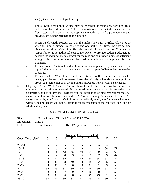six (6) inches above the top of the pipe.

The allowable maximum widths may be exceeded at manholes, bore pits, tees, and in unstable earth material. Where the maximum trench width is exceeded the Contractor shall provide the appropriate strength class of pipe embedment to provide safe support strength to the pipeline.

When trench width exceeds those in the tables shown for Vitrified Clay Pipe or when the side clearance exceeds two and one-half  $(21/2)$  times the outside pipe diameter at either side of a flexible conduit, it shall be the Contractor's responsibility at no additional cost to the Owner to provide bedding adequate to develop the required lateral support for the pipe and/or provide a pipe of sufficient strength class to accommodate the loading conditions as approved by the Engineer.

- c. Trench Slope: The trench width above a horizontal plane six (6 inches above the top of the pipe may vary and side sloping is permissible unless otherwise specified.
- d. Trench Shields: When trench shields are utilized by the Contractor, said shields or any part thereof shall not extend lower than six (6) inches above the top of the proposed pipeline nor shall the maximum allowable trench width be exceeded.
- 6. Clay Pipe Trench Width Tables: The trench width tables list trench widths that are the minimum and maximum allowed. If the maximum trench width is exceeded, the Contractor shall so inform the Engineer prior to installation of pipe embedment material and/or pipe. Unless otherwise specified, H-20 Truck Loading Tables shall be used. All delays caused by the Contractor's failure to immediately notify the Engineer when over width trenching occurs will not be grounds for an extension of the contract time limit or additional payment

#### MAXIMUM TRENCH WIDTH (Inches)

Pipe: Extra Strength Vitrified Clay ASTM C 700 Embedment: Class B Soil: Non-Cohesive  $(K^{\prime} = 0.165)$  120 pcf (No Live Load)

|                    |    |    |    |    | Nominal Pipe Size (inches) |    |    |    |    |
|--------------------|----|----|----|----|----------------------------|----|----|----|----|
| Cover Depth (feet) | 8  | 10 | 12 | 15 | 18                         | 21 | 24 | 27 | 30 |
|                    |    |    |    |    |                            |    |    |    |    |
| $2.5 - 10$         | a  | a  | a  | a  | a                          | a  | a  | a  | a  |
| $10 - 12$          | a  | a  | a  | a  | a                          | a  | a  | 68 | 71 |
| $12 - 14$          | a  | a  | 42 | 45 | 49                         | 54 | 60 | 63 | 65 |
| $14 - 16$          | a  | a  | 40 | 43 | 46                         | 51 | 57 | 59 | 62 |
| $16-18$            | a  | 37 | 39 | 41 | 45                         | 50 | 54 | 57 | 59 |
| 18-20              | 34 | 36 | 38 | 40 | 44                         | 48 | 52 | 55 | 57 |
| $20 - 22$          | 34 | 36 | 37 | 40 | 43                         | 47 | 51 | 53 | 56 |
| $22 - 24$          | 34 | 35 | 37 | 39 | 42                         | 46 | 50 | 52 | 54 |
| $24 - 26$          | 33 | 35 | 37 | 39 | 42                         | 46 | 50 | 51 | 53 |
| 26-28              | 33 | 35 | 36 | 38 | 41                         | 45 | 49 | 51 | 53 |
| 28-30              | 33 | 34 | 36 | 38 | 41                         | 45 | 48 | 50 | 52 |
|                    |    |    |    |    |                            |    |    |    |    |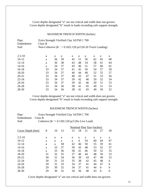Cover depths designated "a" are not critical and width does not govern. Coves depths designated "b" result in loads exceeding safe support strength.

#### MAXIMUM TRENCH WIDTH (Inches)

| Pipe:<br>Embedment<br>Soil: | Extra Strength Vitrified Clay ASTM C 700<br>Class B<br>Non-Cohesive (K $\degree$ = 0.165) 120 pcf (H-20 Truck Loading) |    |    |    |    |    |    |    |    |
|-----------------------------|------------------------------------------------------------------------------------------------------------------------|----|----|----|----|----|----|----|----|
| $2.5 - 10$                  | a                                                                                                                      | a  | a  | a  | a  | a  | a  | a  | a  |
| $10-12$                     | a                                                                                                                      | 36 | 39 | 45 | 51 | 56 | 62 | 65 | 68 |
| $12 - 14$                   | a                                                                                                                      | 36 | 38 | 43 | 48 | 54 | 58 | 61 | 64 |
| $14-16$                     | a                                                                                                                      | 34 | 37 | 43 | 46 | 51 | 57 | 60 | 62 |
| $16-18$                     | 33                                                                                                                     | 34 | 37 | 41 | 45 | 50 | 54 | 57 | 59 |
| 18-20                       | 33                                                                                                                     | 34 | 37 | 40 | 44 | 48 | 52 | 55 | 57 |
| $20 - 22$                   | 33                                                                                                                     | 34 | 37 | 40 | 43 | 47 | 51 | 53 | 56 |
| $22 - 24$                   | 33                                                                                                                     | 34 | 37 | 39 | 42 | 46 | 50 | 52 | 54 |
| $24 - 26$                   | 33                                                                                                                     | 34 | 37 | 39 | 42 | 46 | 50 | 51 | 53 |
| $26 - 28$                   | 33                                                                                                                     | 34 | 36 | 38 | 41 | 45 | 49 | 51 | 53 |
| 28-30                       | 33                                                                                                                     | 34 | 36 | 38 | 41 | 45 | 49 | 50 | 52 |

Cover depths designated "a" are not critical and width does not govern. Cover depths designated "b" result in loads exceeding safe support strength.

# MAXIMUM TRENCH WIDTH (Inches)

| Pipe:              | Extra Strength Vitrified Clay ASTM C 700      |
|--------------------|-----------------------------------------------|
| Embedment: Class B |                                               |
| Soil:              | Cohesive $(K = 0.130)$ 120 pcf (No Live Load) |

| 8  | 10 | 12 | 15 | 18 | 21 | 24 | 27 | 30                         |
|----|----|----|----|----|----|----|----|----------------------------|
|    |    |    |    |    |    |    |    |                            |
| a  | a  | a  | a  | a  | a  | a  | a  | a                          |
| a  | a  | a  | a  | 4  | 54 | 60 | 64 | 67                         |
| a  | a  | 38 | 42 | 46 | 50 | 55 | 59 | 61                         |
| a  | 33 | 37 | 39 | 43 | 48 | 53 | 55 | 57                         |
| a  | 33 | 36 | 38 | 41 | 46 | 50 | 52 | 55                         |
| 31 | 32 | 35 | 37 | 40 | 44 | 48 | 50 | 53                         |
| 30 | 31 | 34 | 36 | 39 | 43 | 47 | 49 | 52                         |
| 30 | 31 | 33 | 35 | 38 | 42 | 45 | 48 | b                          |
| 29 | 31 | 33 | 34 | 37 | 41 | 44 | 47 | b                          |
| 29 | 30 | 32 | 34 | 37 | 41 | 44 | h  | b                          |
| 29 | 30 | 32 | 34 | 36 | 40 | 43 | b  | b                          |
|    |    |    |    |    |    |    |    | Nominal Pine Size (inches) |

Cover depths designated "a" are not critical and width does not govern.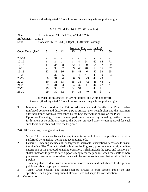# Cove depths designated "b" result in loads exceeding safe support strength.

# MAXIMUM TRENCH WIDTH (Inches)

| Pipe:              | Extra Strength Vitrified Clay ASTM C 700                   |
|--------------------|------------------------------------------------------------|
| Embedment: Class B |                                                            |
| Soil:              | Cohesive $(K^{\circ} = 0.130)$ 120 pcf (H-20Truck Loading) |

|                    |    |    |    |    |    |    | Nominal Pine Size (inches) |    |    |
|--------------------|----|----|----|----|----|----|----------------------------|----|----|
| Cover Depth (feet) | 8  | 10 | 12 | 15 | 18 | 21 | 24                         | 27 | 30 |
|                    |    |    |    |    |    |    |                            |    |    |
| $2.5 - 10$         | a  | a  | a  | a  | a  | a  | a                          | a  | a  |
| $10 - 12$          | a  | a  | a  | a  | 4  | 54 | 60                         | 64 | 71 |
| $12 - 14$          | a  | 34 | 38 | 42 | 46 | 50 | 54                         | 57 | 59 |
| 14-16              | a  | 33 | 37 | 39 | 43 | 48 | 53                         | 55 | 57 |
| $16-18$            | 32 | 33 | 36 | 38 | 41 | 46 | 50                         | 52 | 55 |
| 18-20              | 31 | 32 | 35 | 37 | 40 | 44 | 48                         | 50 | 53 |
| $20 - 22$          | 30 | 31 | 34 | 36 | 39 | 43 | 47                         | 49 | b  |
| $22 - 24$          | 30 | 31 | 33 | 35 | 38 | 42 | 45                         | 48 | b  |
| $24 - 26$          | 29 | 31 | 33 | 34 | 37 | 41 | 44                         | 47 | b  |
| $26 - 28$          | 29 | 30 | 32 | 34 | 37 | 41 | 44                         | b  | b  |
| 28-30              | 29 | 30 | 32 | 34 | 36 | 40 | 43                         | b  | b  |

Cover depths designated "a" are not critical and width not govern. Cove depths designated "b" result in loads exceeding safe support strength.

- 9. Maximum Trench Widths for Reinforced Concrete and Ductile Iron Pipe: When reinforced concrete and ductile iron pipe is utilized, the strength class and the maximum allowable trench width as established by the Engineer will be shown on the Plans.
- 10. Option to Trenching: Contractor may perform excavation by tunneling methods as set forth herein at no additional cost to the Owner provided prior written approval for each such location is obtained from the Engineer.

2205.10 Tunneling, Boring and Jacking:

- 1. Scope: This item establishes the requirements to be followed for pipeline excavation performed by tunneling, boring and jacking methods.
- 2. General: Tunneling includes all underground horizontal excavations necessary to install the pipeline. The Contractor shall submit to the Engineer, prior to actual work, a written description of his proposed tunneling operation. It shall include the types and locations of shafts, methods to provide safe support strength for the pipeline when the shafts or bore pits exceed maximum allowable trench widths and other features that would affect the pipeline.

Tunneling shall be done with a minimum inconvenience and disturbance to the general public and abutting property owners.

- 3. Tunnel Cross Section: The tunnel shall be circular in cross section and of the size specified. The Engineer may submit alternate size and shape for consideration.
- 4. Construction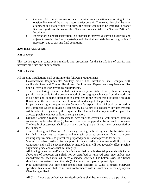- a. General: All tunnel excavation shall provide an excavation conforming to the outside diameter of the casing and/or carrier conduit. The excavation shall be to an alignment and grade which will allow the carrier conduit to be installed to proper line and grade as shown on the Plans and as established in Section 2206.2.9- Installation.
- b. Excavation: Conduct excavation in a manner to prevent disturbing overlying and adjacent material. Perform dewatering and chemical soil stabilization or grouting if necessary, due to existing field conditions.

## **2206 INSTALLATION**

#### 2206.1 Scope

This section governs construction methods and procedures for the installation of gravity and pressure pipelines and appurtenances.

#### 2206.2 General

All pipeline installations shall conform to the following requirements:

- 1. Governmental Requirements: Sanitary sewer line installation shall comply with applicable State and County Health and Environment Departments requirements. See Special Provisions for governing requirements.
- 2. Trench Dewatering: Contractor shall maintain a dry and stable trench, obtain necessary permits, and provide for the proper method of discharging such water from the work site at all times until pipeline installation is completed to the extent that hydrostatic pressure flotation or other adverse effects will not result in damage to the pipeline. Proper dewatering techniques are the Contractor's responsibility. All work performed by

the Contractor which is adversely affected by his failure to adequately dewater trenches will be subject to rejection by the Engineer. The Contractor shall repair and/or replace the affected pipeline without additional compensation.

- 3. Drainage Course Crossing Encasement: Any pipeline crossing a well-defined drainage course having less than three (3) feet of cover over the pipe shall be encased in concrete. The length of encasement shall be as shown on the plans or if not shown as specified by the Engineer.
- 4. Trench Shoring and Bracing: All shoring, bracing or blocking shall be furnished and installed as necessary to preserve and maintain exposed excavation faces, to protect existing improvements, to protect the proposed pipeline and to provide for safety.

 Shoring or other methods for support of trench walls is the responsibility of the Contractor and shall be accomplished by methods that will not adversely affect pipeline alignment, grade and/or structural integrity.

 All bracing, sheeting and/or shoring installed below a horizontal plane six (6) inches above top of proposed pipe shall not be disturbed or removed after pipe and/or pipe embedment has been installed unless otherwise specified. The bottom skids of a trench shield shall not extend lower than six (6) inches above top of proposed pipe.

5. Pipe Embedment: All pipe embedment shall conform to Class B unless otherwise specified. Installation shall be in strict conformance with instructions for the appropriate Class being utilized.

All Class A concrete embedment for rigid conduits shall begin and end at a pipe joint.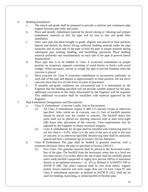- 6. Bedding Installation:
	- a. The trench sub-grade shall be prepared to provide a uniform and continuous pipe support between pipe bells and joints.
	- b. Place and densify embedment material by shovel slicing or vibrating and prepare embedment material so that the pipe will be true to line and grade after installation.
	- c. After each pipe has been brought to grade, aligned, and placed in final position, deposit and densify by shovel slicing sufficient bedding material under the pipe haunches and on each side of the pipe to hold the pipe in proper position during subsequent pipe jointing, bedding, and backfilling operations. Place bedding material uniformly and simultaneously on each side of the pipe to prevent lateral displacement.
	- d. Place pipe that is to be bedded in Class A (concrete) embedment in proper position on temporary supports consisting of wood blocks or bricks with wood wedges. When necessary, anchor or weight the pipe to prevent flotation when the concrete is placed.
	- e. Place concrete for Class A (concrete) embedment or encasement uniformly on each side of the pipe and deposit at approximately its final position. Do not move concrete more than five (5) feet from its point of placement
	- f. If unstable sub-grade conditions are encountered and it is determined by the Engineer that the bedding specified will not provide suitable support for the pipe, additional excavation to the limits determined by the Engineer will be required. This additional excavation shall be backfilled with material approved by the Engineer.
- 7. Pipe Embedment Designations and Descriptions:
	- a. Class A. Embedment Concrete Cradle, Ash or Encasement:
		- (1) All Class A embedments require A 480-1-4 concrete except as otherwise specified. After initial set of concrete, one (1) foot of backfill material should be placed over the conduit or concrete. The backfill above this point shall not be placed nor sheeting removed until at least forty-eight (48) hours after placement of the concrete. Time requirements may be adjusted by the Engineer to obtain structural integrity.
		- (2) Class A embedments for all pipe shall be installed with reinforcing steel of not less than  $p = 0.4\%$ , where p is the ratio of the area of steel to the area of concrete, or as otherwise specified. Reinforcing steel shall be uniformly spaced and have a minimum lap of sixteen (16) bar diameters.
	- b. Class B Embedment The pipe shall be bedded in granular material, with a minimum thickness below the pipe as specified in Section 2205.9.5.
		- (1) First Class: The granular material shall be placed to the horizontal center line of the pipe. The backfill from the horizontal center line to a level not less than twelve (12) inches above the top of pipe shall be carefully placed select earth backfill compacted to eighty-five percent (85%) of maximum density at an optimum moisture + or -2% as defined in AASHTO T99 or ASTM D 698. The select material shall be free from debris, organic matter, frozen material and rocks larger than one (1) inch. Class IV and Class V embedment materials, as defined in ASTM D 2321, shall not be used for bedding, haunching, or initial backfill of flexible pipe.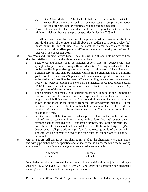- (2) First Class Modified: The backfill shall be the same as for First Class except all of the material used to a level not less than six (6) inches above the top of the pipe bell or coupling shall be bedding aggregate.
- c. Class C Embedment: The pipe shall be bedded in granular material with a minimum thickness beneath the pipe as specified in Section 2205.9.5.

It shall be sliced under the haunches of the pipe to a height one-sixth (1/6) of the outside diameter of the pipe. Backfill above the bedding to a point twelve (12) inches above the top of pipe, shall be carefully placed select earth backfill compacted to eighty-five percent (85%) of maximum density as defined in AASHTO T99 or ASTM D 698.

- 8. Tees, Wyes and Building Service Lines: Tees (Ts), wyes (Ys), and building service lines shall be installed as shown on the Plans or specified herein.
	- a. Tees, wyes and saddles shall be installed at forty-five (45) degrees with pipe springline for pipe sizes 8 through 16 inch diameter. Tees, wyes and saddles shall not be installed in pipe sizes greater than or equal to eighteen (18) inch diameter.
	- b. Building service lines shall be installed with a straight alignment and at a uniform grade not less than two (2) percent unless otherwise specified and shall be embedded with Class B embedment. When a building service line grade exceeds twenty (20) percent, pipeline anchors shall be installed as required under Section 22062.1.1, with the first anchor not more than twelve (12) nor less than seven (7) feet upstream of the tee or wye.
	- c. The Contractor shall maintain an accurate record for submittal to the Engineer of location, size and direction of each tee, wye, saddle and/or location, size and length of each building service line. Locations shall use the pipeline stationing as shown on the Plans or the distance from the first downstream manhole. In the event such records are not kept or are lost before final acceptance of the work, the required information shall be re-determined by the Contractor at no additional cost to the Owner.
	- d. Service lines shall be terminated and capped one foot on the public side of right-of-way or easement lines. A wye with a forty-five (45) degree bend attached shall be installed two (2) feet inside, property side, of the property line on each lateral. A cleanout and cap installed vertically from the forty-five (45) degree bend shall protrude four (4) feet above existing grade of the ground. The cap shall be solvent welded to the pipe push on connections will not be permitted.
- 9. Gravity Sewers: All gravity sewers shall be installed to the alignment, elevation, slope, and with pipe embedment as specified and/or shown on the Plans. Maintain the following tolerances from true alignment and grade between adjacent manholes:

| Alignment | 6 inches  |
|-----------|-----------|
| Grade     | $+1$ inch |

Joint deflection shall not exceed the maximum allowable deflection per joint according to ASTM C 425, ASTM C 594 and AWWA C 600. Only one correction for alignment and/or grade shall be made between adjacent manholes.

10. Pressure Sewers (Force Main): All pressure sewers shall be installed with required pipe

19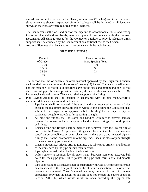embedment to depths shown on the Plans (not less than 42 inches) and to a continuous slope when not shown. Approved air relief valves shall be installed at all locations shown on the Plans or where required by the Engineer.

The Contractor shall block and anchor the pipeline to accommodate thrust and testing forces at pipe deflections, bends, tees, and plugs in accordance with the Contract Documents. All damage caused by the Contractor's failure to provide adequate thrust supports shall be corrected by the Contractor at no additional cost to the Owner.

11. Anchors: Pipelines shall be anchored in accordance with the table below:

#### PIPELINE ANCHORS

| Percent   | <b>Center to Center</b> |  |
|-----------|-------------------------|--|
| of Grade  | Max. Spacing (Feet)     |  |
| $15 - 20$ | 100                     |  |
| $20 - 35$ | 36                      |  |
| $35 - 50$ | 24                      |  |
|           | 16                      |  |

The anchor shall be of concrete or other material approved by the Engineer. Concrete anchors shall have a minimum thickness of twelve (12) inches. The anchor shall extend not less than one (1) foot into undisturbed earth on the sides and bottom and one (1) foot above top of pipe. In incompressible material, the above dimensions may be six (6) inches each side and bottom. The anchor shall support a joint fitting.

- 12. Pipe Laying: All pipe shall be installed in accordance with the pipe manufacturer's recommendations, except as modified herein.
	- a. Pipe laying shall not proceed if the trench width as measured at the top of pipe exceeds the maximum allowable trench width, If this occurs, the Contractor shall submit to the Engineer for approval a better bedding for the pipe or pipe of sufficient strength to provide safe supporting strength.
	- b. All pipe and fittings shall be stored and handled with care to prevent damage thereto. Do not use hooks to transport or handle pipe or fittings. Do not drop pipe or fittings.
	- c. Rejected pipe and fittings shall be marked and removed from the Project Site at no cost to the Owner. All pipe and fittings shall be examined for soundness and specification compliance prior to placement in the trench, and rejected pipe or fittings shall not be incorporated into the pipeline. Check the class or pipe strength to be sure proper pipe is installed.
	- d. Clean joint contact surfaces prior to jointing. Use lubricants, primers, or adhesives as recommended by the pipe or joint manufacturer.
	- e. Pipe laying normally shall begin at the lowest point.
	- f. Unless otherwise required, lay all pipe straight between manholes. Excavate bell holes for each pipe joint. When jointed, the pipe shall form a true and smooth pipeline.
	- g. Pipe connecting to a structure shall be supported with Class A embedment, cradle or encasement to the first joint outside the structure excavation. If flexible wall connections are used, Class B embedment may be used in lieu of concrete embedment provided the height of backfill does not exceed the covers depths in Section 2205.9.6., which would result in loads exceeding the pipe's safe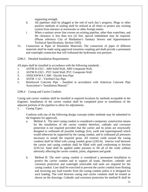supporting strength.

- h. All pipelines shall be plugged at the end of each day's progress. Plugs or other positive methods of sealing shall be utilized at all times to protect any existing system from entrance at stormwater or other foreign matter.
- i. When a sanitary sewer line crosses an existing pipeline, other than waterlines, and the clearance is less than two (2) feet, special embedment may be required. (Please reference City of Manhattan's Sanitary Sewers and Appurtenances Technical Specifications, Section 5505)
- 13. Connection at Pipes of Dissimilar Materials: The connection of pipes of different materials shall be made using approved transition coupling and shall provide a permanent and watertight connection that will withstand the hydrostatic test pressure.

2206.3 Detailed Installation Requirements

All pipes shall be installed in accordance with the following standards:

- 1. ASTM D-2321 ABS Solid Wall, ABS Composite Wall,
- 2. ASTM D-2321 PVC Solid Wall, PVC Composite Wall.
- 3. ANSI/AWWA C 600 Ductile Iron Pipe.
- 4. ASTM C I2 Vitrified Clay Pipe.
- 5. Reinforced Concrete Pipe Installed in accordance with American Concrete Pipe Association's "Installation Manual."
- 2206.4 Casing and Carrier Conduits

Casing and carrier conduits shall be installed at required locations by methods acceptable to the Engineer. Installation of the carrier conduit shall be completed prior to installation of the adjacent portions of the pipeline to allow for adjustments.

1. Casing Types:

Conform with one of the following design concepts (other methods may be submitted to the Engineer for approval).

- a. Method A: The steel casing conduit is considered a temporary construction means for the installation of the carrier conduit therefore, cathodic and corrosion protection is not required provided that the carrier and its joints are structurally designed to withstand all possible loadings (live, earth and superimposed) which would otherwise be supported by the casing conduit, and to withstand all pressures necessary to install the required grout. All exterior voids around the casing conduits shall be filled with casing conduit grout (2203.6). Interior void between the carrier and casing conduits shall be filled with sand conforming to Section 2210.3.6. Sand shall be applied under pressure to fill all of the voids without adversely affecting the carrier conduit, joints, alignment and grade.
- b. Method B: The steel casing conduit is considered a permanent installation to protect the carrier conduit and to support all loads, therefore, cathodic and corrosion protection and watertight removable end seals are required for the casing conduit. Care shall be exercised to prevent the carrier conduit from floating and receiving any load transfer from the casing conduit unless it is designed for such loading. The void between casing and carrier conduits shall be treated as shown on the drawings. Cathodic and corrosion protection for method B shall be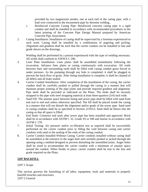provided by two magnesium anodes, one at each end of the casing pipe, with a lead wire connected to the encasement pipe by thermite welding..

- c. Reinforced Concrete Casing Pipe: Reinforced concrete casing pipe is a rigid conduit and shall be installed in accordance with recommended procedures in the latest printing of the Concrete Pipe Design Manual prepared by American Concrete Pipe Association.
- 2. Casing Installation: Installation of casing shall be supervised by a foreman experienced in such work. Casing shall be installed by a combination of augering and jacking. Alignment and gradient shall be such that the carrier conduit can be installed to line and grade shown on the drawings.

Welding shall be performed by a person experienced with the type of welding necessary. All welds shall conform to AWWA C 206.

- 3. Liner Plate Installation: Liner plates shall be assembled immediately following the excavation. Advance liner plates or casing continuously with excavation. All voids between liner and surrounding earth shall be filled with casing conduit grout forced in under pressure. As the pumping through any hole is completed, it shall be plugged to prevent the back-flow of grout. After lining installation is complete, it shall be cleaned of all debris and all leaks sealed.
- 4. Carrier Conduit Installation: After completion of the installation of the casing, the carrier conduit shall be carefully pushed or pulled through the casing in a manner that will maintain proper jointing of the pipe joints and provide required gradient and alignment. Pipe skids shall be provided as indicated on the Plans. The skids shall be securely strapped to the pipe with steel strapping material at least three-quarters (3/4) inch wide.
- 5. Sand Fill: The annular space between lining and sewer pipe shall be filled with sand from end seal to end seal unless otherwise specified. The fill shall be placed inside the casing in a manner that will not disturb the alignment and/or grade of the sewer pipe. Sand used in casing conduits shall be as specified in Section 22103.6. Sand shall be blown into the casing so that all space is filled.
- 6. End Seals: Construct end seals after sewer pipe has been installed and approved. Brick shall be in accordance with ASTM C 32, Grade SS or SM and mortar in accordance with ASTM C 270.
- 7. Initial Testing: Air pressure and/or ex-filtration test as required shall be successfully performed on the carrier conduit prior to filling the void between casing and carrier conduits with sand or the sealing of the ends of the casing conduit.
- 8. Carrier Conduit Installed Without Casing: Carrier conduits installed without casing shall be assembled at the entrance to the auger hole and carefully pushed or jacked through the opening using a method designed to prevent disturbing the assembled joints. Auger holes shall be sized to accommodate the carrier conduit with a minimum of annular space around the conduit. When finally in place, carrier conduit shall be true to the line and grade required on the Plans.

# **2207 BACKFILL**

# 2207.1 Scope

This section governs the furnishing of all labor, equipment, tools and materials to properly backfill trenches and structures. 2207.2 General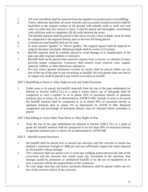- 1. All trash and debris shall be removed from the pipeline excavation prior to backfilling.
- 2. Unless otherwise specified, all sewer trenches and excavation around structures shall be backfilled to the original surface of the ground with suitable earth or earth and rock when an earth and rock mixture is used, it shall be placed and thoroughly consolidated with sufficient earth to completely fill all voids between the rocks.
- 3. The backfill material shall be placed in lifts not to exceed 1 foot in depth. Each lift shall be compacted to the required density prior to the next lift being placed.
- 4. Commercial sand backfill shall not be used.
- 5. In areas marked "garden" or "flower garden," the original topsoil shall be replaced to original elevation and depth. (Minimum depth shall be twelve (12) inches).
- 6. Backfill material shall be carefully placed to avoid damage to or displacement of the pipe and other exposed utilities or structures.
- 7.Backfill shall not be placed when material contains frost, is frozen, or a blanket of snow prevents proper compaction. Contractor shall remove waste material, trees, organic material, rubbish, or other deleterious substances.
- 8. No rock whose greatest dimension exceeds six inches shall be placed within two (2) feet of the top of the pipe in any excavation as backfill. No rock greater than one foot in its largest axis shall be placed in any trench excavation as backfill.

2207.3 Backfilling in Street or Alley Right-of-way and Under Pavement

1. Under areas to be paved, the backfill materials from the top of the pipe embedment (as defined in Section 2206.2.7.b.) to a point 6 inches below top of sub-grade shall be compacted in such a manner so as to obtain 95% of maximum density at optimum moisture plus or minus 2% as determined by ASTM D 698. Outside of areas to be paved the backfill material shall be compacted so as to obtain 90% of maximum density at optimum moisture plus or minus 2% as determined by ASTM D 698. Required compaction and percentage of maximum density must be obtained before pavement is placed.

2207.4 Backfilling in Areas Other Than Street or Alley Right-of-Way

1. From the top of the pipe embedment (as defined in Section 2206.2.7.b.) to a point at grade the backfill material shall be compacted to no less than 90% of maximum density at optimum moisture plus or minus 2% as determined by ASTM 698.

2207.5 Backfill around Structures

- 1. No backfill shall be placed over or around any structure until the concrete or mortar has attained a minimum strength of 2000 psi and can sufficiently support the loads imposed by the backfill without damage.
- 2. The Contractor shall use utmost care to avoid any wedging action between the side of the excavation and the structure that would cause any movement of the structure. Any damage caused by premature or unbalanced backfill or by the use of equipment on or near a structure will be the responsibility of the Contractor.
- 3. No rock larger than four (4) inches maximum dimension shall be placed within one (1) foot of the exterior surface of any structure.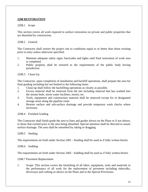#### **2208 RESTORATION**

#### 2208.1 Scope

This section covers all work required in surface restoration on private and public properties that are disturbed by construction.

2208.2 General

The Contractor shall restore the project site to conditions equal to or better than those existing prior to entry unless otherwise specified.

- 1. Maintain adequate safety signs, barricades and lights until final restoration of work area is completed.
- 2. Public property shall be restored to the requirements of the public body having jurisdiction.

2208.3 Clean-Up

The Contractor, upon completion of installation and backfill operations, shall prepare the area for final grading including but not limited to the following items:

- 1. Clean-up shall follow the backfilling operations as closely as possible.
- 2. Excess material shall be removed from the site including material that has washed into the stream beds, storm water facilities, streets, etc.
- 3. Tools, equipment and construction material shall be removed except for in designated storage areas along the pipeline route.
- 4. Restore surface and sub-surface drainage and provide temporary wash checks where necessary.

2208.4 Finished Grading

The Contractor shall finish grade the area to lines and grades shown on the Plans or if not shown, to those that existed prior to the area being disturbed. Special attention shall be directed to assure surface drainage. The area shall be smoothed by raking or dragging.

2208.5 Seeding

The requirements set forth under Section 2401 - Seeding shall be used as if fully written herein.

2208.6 Sodding

The requirements set forth under Section 2402 - Sodding shall be used as if fully written herein.

2208.7 Pavement Replacement

1. Scope: This section covers the furnishing of all labor, equipment, tools and materials in the performance of all work for the replacement of pavement including sidewalks, driveways and curbing as shown on the Plans and in the Special Provisions.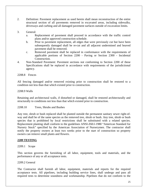- 2. Definition: Pavement replacement as used herein shall mean reconstruction of the entire structural section of all pavements removed in excavated areas, including sidewalks, driveways and curbing and all damaged pavement surfaces outside of excavation limits.
- 3. General:
	- a. Replacement of pavement shall proceed in accordance with the traffic control plans and/or approved construction schedule.
	- b. Prior to pavement replacement, all edges that were previously cut but have been subsequently damaged shall be re-cut and all adjacent undermined and heaved pavement shall be removed.
	- c. Removed pavement shall be replaced in conformance with the requirements of applicable portions of Section 2200 - Paving or Section 2300 - Incidental Construction.
- 4. Non-Standard Pavement: Pavement sections not conforming to Section 2200 of these Specifications shall be replaced in accordance with requirements of the jurisdictional agency.

2208.8 Fences

All fencing damaged and/or removed existing prior to construction shall be restored to a condition not less than that which existed prior to construction.

2208.9 Walls

Retaining and architectural walls, if disturbed or damaged, shall be restored architecturally and structurally to conditions not less than that which existed prior to construction.

2208.10 Trees, Shrubs and Bushes

Any tree, shrub or bush replaced shall be planted outside the permanent sanitary sewer right-ofway and shall be of the same species as the removed tree, shrub or bush. Any tree, shrub or bush species that is prohibited by local restrictions shall be substituted with a related species. Replacement planting shall conform to the guidelines ANSI-Z60.l-1980 "American Standard for Nursery Stock" specified by the American Association of Nurserymen. The contractor shall notify the property owners at least two weeks prior to the start of construction so property owners can remove small plants and flowers.

#### **2209 TESTING**

#### 2209.1 Scope

This section governs the furnishing of all labor, equipment, tools and materials, and the performance of any or all acceptance tests.

#### 2209.2 General

The Contractor shall furnish all labor, equipment, materials and reports for the required acceptance tests. All pipelines, including building service lines, shall undergo and pass all required tests to determine soundness and workmanship. Pipelines that do not conform to the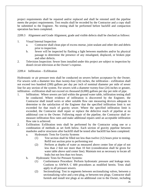project requirements shall be repaired and/or replaced and shall be retested until the pipeline meets the project requirements. Test results shall be recorded by the Contractor and a copy shall be submitted to the Engineer. No testing shall be performed before backfill and compaction operation has been completed.

2209.3 Alignment and Grade Alignment, grade and visible defects shall be checked as follows:

- 1. Visual Internal Inspection
	- a. Contractor shall clean pipe of excess mortar, joint sealant and other dirt and debris prior to inspection.
	- b. Sewer will be inspected by flashing a light between manholes and/or by physical passage to determine the presence of any misaligned, displaced, or broken pipe and other defects.
- 2. Television Inspection: Sewer lines installed under this project are subject to inspection by dosed circuit television at the Owner's expense.

2209.4 Infiltration – Exfiltration

Hydrostatic or air pressure tests shall be conducted on sewers before acceptance by the Owner. For sewers with a diameter less than twenty-four (24) inches, the infiltration - exfiltration shall not exceed two hundred (200) gallons per day per inch of nominal diameter per mile of sewer line for any section of the system. For sewers with a diameter twenty-four (24) inches or greater, infiltration - exfiltration shall not exceed six thousand (6,000) gallons per day per mile of pipe.

- 1. Infiltration: Where sewers are laid within the ground water table, infiltration testing shall be conducted. Where evidence of infiltration is discovered by the Engineer, the Contractor shall install weirs or other suitable flow rate measuring devices adequate to determine to the satisfaction of the Engineer that the specified infiltration limit is not exceeded for that reach of gravity sewer. Where the specified infiltration limit is exceeded, the Contractor shall repair or replace the defective reach of pipeline at no additional cost to the Owner. Following repair of the pipeline, the Contractor shall remeasure infiltration flow rates and make additional repairs until an acceptable infiltration flow rate is achieved.
- 2. Exfiltration: Exfiltration tests shall be performed by the Contractor using one or a combination of methods as set forth below. Each section of gravity pipeline between manholes and/or structures after backfill shall be tested after backfill has been completed.
	- a. Hydrostatic Tests for Gravity Systems
		- (1) Test section shall be filled not less than twelve (12) hours prior to testing. Refill test section prior to performing test
		- (2) Perform at depths of water as measured above center line of pipe of not less than 2 feet nor more than 10 feet (consideration shall be given for water table above said center line). Maintain test as necessary to locate all leaks but not less than two hours.
	- b. Hydrostatic Tests for Pressure Systems:
		- (1) Conformance Procedure: Perform hydrostatic pressure and leakage tests. Conform to AWWA C 600 procedures as modified herein. Tests shall apply to all pressure sewers.
		- (2) Sectionalizing: Test in segments between sectionalizing valves, between a sectionalizing valve and a test plug, or between test plugs. Contractor shall furnish and install test plugs at no additional cost to the Owner, including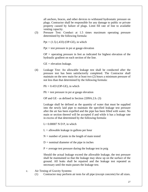all anchors, braces, and other devices to withstand hydrostatic pressure on plugs. Contractor shall be responsible for any damage to public or private property caused by failure of plugs. Limit fill rate of line to available venting capacity.

(3) Pressure Test: Conduct at 1.5 times maximum operating pressure determined by the following formula:

Ppt *=* (1.5) (.433) (OP-GE), in which

Ppt *=* test pressure in psi at gauge elevation

OP *=* operating pressure in feet as indicated for highest elevation of the hydraulic gradient on each section of the line.

GE *=* elevation leakage.

(4) Leakage Test: An allowable leakage test shall be conducted after the pressure test has been satisfactorily completed. The Contractor shall maintain on the new main for at least two (2) hours a minimum pressure of not less than that determined by the following formula:

Plt *=* 0.433 (OP-GE), in which

Plt *=* test pressure in psi at gauge elevation

OP and GE - as defined in Section 2209A.2.b. (3)

Leakage shall be defined as the quantity of water that must be supplied into the newly laid pipe to maintain the specified leakage test pressure after the air has been expelled and the pipe has been filled with water. No main or section thereof will be accepted if and while it has a leakage rate in excess of that determined by the following formula:

 $L= 0.00007$  N D P, in which

L *=* allowable leakage in gallons per hour

 $N =$  number of joints in the length of main tested

D *=* nominal diameter of the pipe in inches

 $P =$  average test pressure during the leakage test in psig

Should the actual leakage exceed the allowable leakage, the test pressure shall be maintained so that the leakage may show up on the surface of the ground. All leaks shall be repaired and the leakage test repeated as necessary until the main passes the leakage test.

- c. Air Testing of Gravity Systems:
	- (1) Contractor may perform air tests for all pipe (except concrete) for all sizes.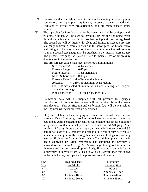- (2) Contractors shall furnish all facilities required including necessary piping connection, test pumping equipment, pressure gauges, bulkheads, regulator to avoid over pressurization, and all miscellaneous items required.
- (3) The pipe plug for introducing air to the sewer line shall be equipped with two taps. One tap will be used to introduce air into the line being tested through suitable valves and fittings, so that the input air may be regulated. The second tap will be fitted with valves and fittings to accept a pressure test gauge indicating internal pressure in the sewer pipe. Additional valve and fitting will be incorporated on the tap used to check internal pressure so that a second test gauge may be attached to the internal pressure tap. The pressure test gauge will also be used to indicate loss of air pressure due to leaks in the sewer line.
- (4) The pressure test gauge shall meet the following minimums:

| Size (diameter)                   | $4-1/2$ inches                                               |
|-----------------------------------|--------------------------------------------------------------|
| <b>Pressure Range</b>             | $0-15$ psi                                                   |
| Figure Intervals 1 psi increments |                                                              |
| Minor Subdivisions 0.05 psi       |                                                              |
|                                   | Pressure Tube Bourdon Tube or diaphragm.                     |
|                                   | Accuracy $+/-025\%$ of maximum scale reading                 |
|                                   | Dial White coated aluminum with black lettering, 270 degrees |
| arc and mirror edge.              |                                                              |
|                                   | Pipe Connection Low male 1/2 inch N.P.T.                     |

Calibration data will be supplied with all pressure test gauges. Certification of pressure test gauge will be required from the gauge manufacturer. This certification and calibration data will be available to the Engineer whenever air tests are performed.

(5) Plug ends of line and cap or plug all connections to withstand internal pressure. One of the plugs provided must have two taps for connecting equipment. After connecting air control equipment to the air hose, monitor air pressure so that internal pressure does not exceed 5.0 psig. After reaching 4.0 psig, throttle the air supply to maintain between 4.0 and 3.5 psig for at least two (2) minutes in order to allow equilibrium between air temperature and pipe walls. During this time, check all plugs to detect any leakage. If plugs are found to leak, bleed off air, tighten plugs, and again begin supplying air. After temperature has stabilized, the pressure is allowed to decrease to 3.5 psig. At 3.5 psig, begin timing to determine the time required for pressure to drop to 2.5 psig. If the time in seconds for the air pressure to decrease from 3.5 psig to 2.5 psig is greater than that shown in the table below, the pipe shall be presumed free of defects.

| Pipe        | <b>Required Time</b> | Maximum              |
|-------------|----------------------|----------------------|
| <b>Size</b> | per $100$ LF         | <b>Required time</b> |
| 4"          | 20 sec               | $60 \text{ sec}$     |
| 6"          | 45 sec               | 2 minutes 15 sec     |
| 8"          | 1 minute 10 sec      | 3 minutes 47 sec.    |
| 10"         | 1 minute 50 sec      | 4 minute 43 sec.     |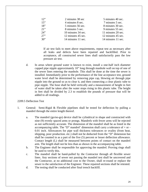| 12"    | 2 minutes 38 sec   | 5 minutes 40 sec.  |
|--------|--------------------|--------------------|
| 15"    | 4 minutes 8 sec.   | 7 minutes 5 sec.   |
| 18"    | 5 minutes 56 sec.  | 8 minutes 30 sec.  |
| $21$ " | 8 minutes 5 sec.   | 9 minutes 55 sec.  |
| 24"    | 10 minutes 34 sec. | 11 minutes 20 sec. |
| 27     | 12 minutes 45 sec. | 12 minutes 45 sec. |
| 30"    | 14 minutes 11 sec. | 14 minutes 11 sec. |

If air test fails to meet above requirements, repeat test as necessary after all leaks and defects have been repaired and backfilled. Prior to acceptance, all constructed sewer lines shall satisfactorily pass the low pressure air test.

d. In areas where ground water is known to exist, install a one-half inch diameter capped pipe nipple approximately 10" long through manhole wall on top of one of the sewer lines entering the manhole. This shall be done at the time the sewer is installed. Immediately prior to the performance of the line acceptance test, ground water level shall be determined by removing pipe cap, blowing air through pipe nipple into the ground so as to clear it, and then connecting a clear plastic tube to pipe nipple. The hose shall be held vertically and a measurement of height in feet of water shall be taken after the water stops rising in this plastic tube. The height in feet shall be divided by 2.3 to establish the pounds of pressure that will be added to all readings.

#### 2209.5 Deflection Test

- 1. General: Semi-Rigid & Flexible pipelines shall be tested for deflection by pulling a mandrel through the entire length thereof.
	- a. The mandrel (go/no-go) device shall be cylindrical in shape and constructed with nine (9) evenly spaced arms or prongs. Mandrels with fewer arms will be rejected as not sufficiently accurate. The dimension of the mandrel shall be as listed in the accompanying table. The "D" mandrel' dimension shall carry a tolerance of  $+$  or -0.01 inch. Allowances for pipe wall thickness tolerances or ovality (from heat, shipping, poor production. etc.) shall not be deducted from the "D" dimension but shall be counted in as a part of the five (5) percent or lesser deflection allowance. Contact length (L) shall be measured between points of contact on the mandrel arm. The length shall not be less than as shown in the accompanying table.
	- b. The Engineer shall be responsible for approving the mandrel. Proving rings shall be used to verify this.
	- c. The mandrel shall be hand-pulled by the Contractor through all flexible sewer lines. Any sections of sewer not passing the mandrel test shall be uncovered and the Contractor, at no additional cost to the Owner, shall re-round or replace the sewer to the satisfaction of the Engineer. These repaired sections shall be retested.
	- d. The testing shall be conducted after final trench backfill.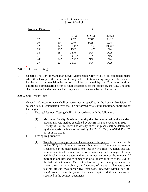## D and L Dimensions For 9 Arm Mandrel

| <b>Nominal Diameter</b> |        | D              |                            |                |
|-------------------------|--------|----------------|----------------------------|----------------|
| 8"                      | 8"     | SDR35<br>7.52" | SDR <sub>26</sub><br>7.37" | SDR21<br>7.41" |
| $10$ "                  | $10$ " | 9.40"          | 9.21"                      | 9.24"          |
| 12"                     | 12"    | 11.19"         | 10.96"                     | 10.96"         |
| 15"                     | 15"    | 13.7"          | 13.42"                     | <b>NA</b>      |
| 18"                     | 18"    | 16.76"         | NA                         | N/A            |
| 21"                     | 21"    | 19.74"         | <b>NA</b>                  | <b>NA</b>      |
| 24"                     | 24"    | 22.21"         | N/A                        | <b>NA</b>      |
| 27"                     | 27"    | 25.03"         | NA                         | N/A            |
|                         |        |                |                            |                |

#### 2209.6 Television Testing

.

1. General: The City of Manhattan Sewer Maintenance Crew will TV all completed mains when they have pass the deflection testing and exfiltration testing. Any defects indicated by the visual or television inspection shall be corrected by the Contractor without additional compensation prior to final acceptance of the project by the City. The lines shall be retested and re-inspected after repairs have been made by the Contractor.

#### 2209.7 Soil Density Tests

- 1. General: Compaction tests shall be performed as specified in the Special Provisions. If so specified, all compaction tests shall be performed by a testing laboratory approved by the Engineer.
	- a. Testing Methods: Testing shall be in accordance with the following:
		- (1) Maximum Density: Maximum density shall be determined by the standard proctor analysis method as defined by AASHTO T99 or ASTM D 698.
		- (2) Density of Soil in Place: The density of soil in place shall be determined by the analysis methods as defined by ASTM D 1556, or ASTM D 2167, or ASTM D 2922.
	- b. Testing Requirements:
		- (1) Trenches crossing perpendicular to areas to be paved: One test per 12 inches (12") lift. If any two consecutive tests pass (not counting retests), frequency can be decreased to one test per two lifts. A failed test will require additional compaction efforts, retesting and passage of three additional consecutive test within the immediate area or the removal (if more than one lift) and re-compaction of all material down to the level of the last test that passed. Once a test has failed, and the appropriate action taken to rectify the problem, the frequency of testing shall revert to one test per lift until two consecutive tests pass. Roadway widths (back-toback) greater than thirty-one feet may require additional testing as specified in the contract documents.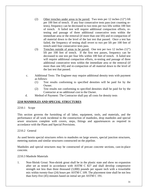- (2) Other trenches under areas to be paved: Two tests per 12 inches (12") lift per 100 feet of trench. If any four consecutive tests pass (not counting retests), frequency can be decreased to two tests per two lifts within 100 feet of trench. A failed test will require additional compaction efforts, retesting and passage of three additional consecutive tests within the immediate area or the removal (if more than one lift) and re-compaction of all material down to the level of the last test that passed. Once a test has failed, the frequency of testing shall revert to two per lift per 100 feet of trench until four consecutive tests pass.
- (3) Trenches outside of areas to be paved: One test per two 12 inches (12") lift per 100 feet of trench. If the first test passes, frequency can be decreased to one test per four lifts within 100 feet of trench. A failed test will require additional compaction efforts, re-testing and passage of three additional consecutive tests within the immediate area or the removal (if more than one lift) and re-compaction of all material down to the level of the last test that passed.
- c. Additional Tests: The Engineer may require additional density tests with payment as follows:
	- (1) Test results conforming to specified densities will be paid for by the Owner.
	- (2) Test results not conforming to specified densities shall be paid for by the Contractor at no additional cost to the Owner.
- d. Method of Payment: The Contractor shall pay all costs for density tests

# **2210 MANHOLES AND SPECIAL STRUCTURES**

#### 2210.1 Scope

This section governs the furnishing of all labor, equipment, tools, and materials, and the performance of all work incidental to the construction of manholes, drop manholes and special sewer structures complete with covers, steps, fittings and appurtenances as required in accordance with the Plans and Special Provisions.

#### 2210.2 General

As used herein special structures refers to manholes on large sewers, special junction structures, metering stations and similar structures constructed on the pipeline.

Manholes and special structures may be constructed of precast concrete sections, cast-in-place concrete.

#### 2210.3 Manhole Materials

1. Non-Shrink Grout: Non-shrink grout shall be in the plastic state and show no expansion after set as tested in accordance with ASTM C 827 and shall develop compressive strength not less than three thousand (3,000) pounds per square inch with a trowelable mix within twenty-four (24) hours per ASTM C 109. The placement time shall be not less than forty-five (45) minutes based on initial set per ASTM C 191.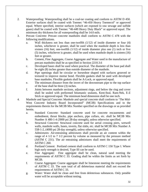- 2*.* Waterproofing: Waterproofing shall be a coal-tar coating and conform to ASTM D 450. Exterior surfaces shall be coated with Tnemec "46-450 Heavy Tnemecol" or approved equal. Where specified, interior surfaces (which are exposed to raw sewage and sulfide gases) shall be coated with Tnemec "46-449 Heavy Duty Black" or approved equal. The minimum dry thickness for all waterproofing shall be 14.0 mils.
- 3. Precast Concrete: Precast concrete manholes shall conform to ASTM C 478 with the following modifications.
	- a. Wall thickness not less than one-twelfth (1/12) of inside diameter or four (4) inches, whichever is greater, shall be used when the manhole depth is less than sixteen (16) feet; one-twelfth (1/12) of inside diameter plus one (1) inch or five (5) inches, whichever is greater, shall be used when manhole depth is sixteen (16) feet or greater.
	- b. Cement, Fine Aggregate, Coarse Aggregate and Water used in the manufacture of precast manholes shall be as specified in Section 2210.3.6
	- c. Developed bases shall be used where practical. The diameter of the base pad shall be eight (8) inches greater than outside diameter of the manhole.
	- d. Pipe openings shall be circular or horseshoe shaped with surfaces grooved or textured to improve mortar bond. Flexible gaskets shall be used with developed base manholes. Flexible gaskets shall be A-Lock, or approved equal.
	- e. The minimum distance from the invert of the downstream pipe to the top surface of the base shall be three (3) inches.
	- f. Joints between manhole sections, adjustment rings, and below the ring and cover shall be sealed with preformed bitumastic sealants, Kent-Seal, Ram-Nek, E-Z Stick or approved equal. The minimum bead dimension shall be one inch.
- 4. Manhole and Special Concrete: Manhole and special concrete shall conform to 'The Mid-West Concrete Industry Board Incorporated" (MCIB) Specifications and to the requirements therein for the MCIB Mix Number specified on the drawings or as provided herein.
	- a. Standard Concrete: Standard concrete used for concrete encasements and embedment, thrust blocks, pipe anchors, pipe collars, etc. shall be MCIB Mix Number A 480-1-4 (3000 psi 28-day strength), unless otherwise specified.
	- b. Structural Concrete: Structural concrete used for aerial crossing piers, wetwell walls, manhole walls, bases, inverts, flat slabs, etc. shall be MCIB Mix Number A 558-1-2, (4000 psi 28-day strength), unless otherwise specified.
	- c. Admixtures: Air-entraining admixtures shall provide an air content within the range of 4 1/2 to 7 1/2 percent by volume as measured by the pressure method (ASTM C 231). The air entraining admixtures shall meet the requirements of ASTM C 260.
	- d. Portland Cement: Portland cement shall conform to ASTM C 150 Type I. Where high early strength is desired, Type III can be used.
	- e. Fine Aggregate: Fine aggregate shall be clean, natural sand meeting the requirements of ASTM C 33. Grading shall be within the limits as set forth by MCIB.
	- f. Coarse Aggregate: Coarse aggregate shall be limestone meeting the requirements of ASTM C 33. The sum total of all deleterious material shall not exceed the requirements of ASTM C 33.
	- g. Water: Water shall be clean and free from deleterious substances. Only potable water will be acceptable without testing.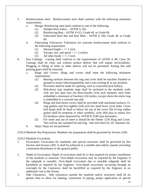- 5. Reinforcement steel: Reinforcement steel shall conform with the following minimum requirements.
	- a. Design: Reinforcing steel shall conform to one of the following.
		- (1) Welded Wire Fabric ASTM A 185.
		- (2) Reinforcing Bars ASTM A 615, Grade 40, or Grade 60.
		- (3) Fabricated Steel Bar and Rod Mats ASTM A 184, Grade 40, or Grade 60.
	- b. Fabricating Tolerances: Tolerances for concrete reinforcement shall conform to the following requirement
		- (1) Sheared length  $= +/- 1$  inch.
		- (2) Stirrups, ties, and spiral  $= +/- 2$  inches.
		- (3) All other bends  $= +/- 1$  inch.
- 6. Iron Castings: Casting shall conform to the requirements of ASTM A 48, Class 30. Castings shall be clean and without surface defects that will impair serviceability. Plugging or filling of holes or other defects will not be permitted. Parting fins and pouring gates shall be removed.
	- a. Rings and Covers: Rings and covers shall meet the following minimum requirements.
		- (1) Bearing surfaces between the ring and cover shall be machine finished or ground to assure interchangeability and a non-rocking & in any position.
		- (2) Provision shall be made for opening, such as concealed pick hole(s).
		- (3) Bolt-down type manhole rings shall be anchored to the manhole walls with not less than four (4) three-fourths (3/4) inch diameter steel bolts embedded a minimum of fourteen (14) inches, except where the entire ring is embedded in a concrete top slab.
		- (4) Rings and bolt-down covers shall be provided with machined surfaces, Oring gaskets and five-eighths (5/8) inch hex head brass cover bolts. Cover bolt heads shall fit flush or below the top of the covet The O-ring rubber gasket shall be neoprene or other synthetic, sixty (60) plus or minus five (5) hardness when measured by ASTM D 2240 type durometer.
		- (5) For street and out of street it should be the Deeter 1256 Ring and Cover. This will be one standard lid and ring. One inch thick by 24" diameter lid.
	- b. Steps: Steps are not permitted

2210.4 Manhole Site Preparation: Manhole site preparation shall be governed by Section 2204.

#### 2210.5 Manhole Excavation

- 1. Excavation: Excavation for manholes and special structures shall be governed by this Section and Section 2205*.* It shall be achieved in a suitable and orderly manner providing a minimum disturbance to the general public.
- 2. Depth of Excavation: Depth of excavation shall be to that required for proper installation of the manhole or structure. Over-depth excavation may be required by the Engineer if the subgrade is unstable. Over-depth excavation due to unstable subgrade shall be backfilled as required by the Engineer. Over-depth excavation occurring through an oversight by the Contractor shall be backfilled as required by the Engineer at no additional cost to the Owner.
- 3. Side Clearances: Side clearances outside the manhole and/or structures shall be no greater than to allow for fanning, connection of piping, proper application of special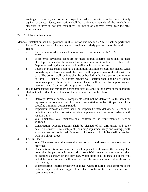coatings, if required, and to permit inspection. When concrete is to be placed directly against excavated faces, excavation shall be sufficiently outside of the manhole or structure to provide not less than three (3) inches of concrete cover over the steel reinforcement

#### 2210.6 Manhole Installation

Manhole installation shall be governed by this Section and Section 2206. It shall be performed by the Contractor on a schedule that will provide an orderly progression of the work.

- 1. Bases:
	- a. Precast developed bases shall be reinforced in accordance with ASTM C478.
	- b. If preferred developed bases are not used, poured concrete bases shall be used. Developed bases shall be installed on a maximum of 4 inches of crushed rock. Depths exceeding this amount shall be filled with mass concrete.
	- c. Poured-in-place bases shall have a minimum thickness of eight (8) inches. When poured-in-place bases are used, the invert shall be poured monolithically with the base. The bottom wall sections shall be embedded in the base section a minimum of three (3) inches. The bottom precast wall section shall not be set upon a previously poured base. Solid concrete blocks shall be used for supporting and leveling the wall section prior to pouring the base.
- 2. Inside Dimensions: The minimum horizontal clear distance in the barrel of the manholes shall not be less than four feet unless otherwise specified on the Plans.
- 3. Precast
	- a. Delivery: Precast concrete components shall not be delivered to the job until representative concrete control cylinders have attained at least 80 per cent of the specified minimum design strength.
	- b. Inspection: Precast concrete shall be inspected when delivered. Rejection of defective or cracked precast concrete components shall be in accordance with ASTM C478.
	- c. Wall Thickness: Wall thickness shall conform to the requirements of Section 2210.3.3
	- d. Construction: Precast sections shall be cleaned of all dirt, grass, and other deleterious matter. Seal each joint (including adjustment rings and castings) with a double bead of preformed bitumastic joint sealant. Lift holes shall be patched with non-shrink grout
- 4. Cast-In-Place:
	- a. Wall Thickness: Wall thickness shall conform to the dimensions as shown on the drawings.
	- b. Construction: Reinforcement steel shall be placed as shown on the drawing. Tieholes shall be patched with non-shrink grout Wall sleeves, where required, shall be installed as shown on the drawings. Water stops shall be installed at the wall and slab connection and shall be of the size, thickness and material as shown on the drawings.
	- c. Waterproofing: Interior protective coatings, where required, shall conform to the material specifications. Application shall conform to the manufacturer's recommendation.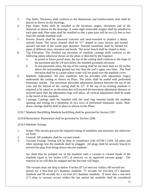- 5. Top Slabs: Thickness shall conform to the dimensions and reinforcement steel shall be placed as shown on the drawings.
- 6. Pipe Stubs: Stubs shall be installed at the locations, angles, elevations and of the materials as shown on the drawings. A water-tight removable stopper shall be installed in each pipe stub. Pipe stubs shall be installed so that a pipe joint will be two (2) feet or less from the outside manhole wall.
- 7. Inverts: Inverts shall be structural concrete and steel-troweled to produce a dense, smooth finish. The invert channel shall be "U" shaped in cross section and extend upward one-half of the inside pipe diameter. Smooth transitions shall be formed for pipes of different sizes, elevation and bends. The invert bench shall be sloped to drain.
- 8. Top Elevation: The finished top elevation of manhole castings shall conform to the following unless otherwise shown on the plans or directed by the Engineer.
	- a. In paved or future paved areas, the tap of the casting shall conform to the slope of the pavement and be 1/8 inch below the finished pavement elevation.
	- b. In non-pavement areas, the top of the casting shall be not more than six (6) inches above the surrounding ground nor less than the sod's upper root limit. The final elevation shall be at a point where water will not pond over the manhole cover.
- 9. Manhole Adjustment: All new manholes will be provided with adjustment ring(s) underneath the casting as shown on Plans. The joints shall be sealed with preformed bitumastic sealant. The maximum allowable adjustment distance between the top of the cone and the bottom of the casting shall be 12". If the top of an existing manhole is required to be raised to an elevation that will exceed the maximum adjustment distance or lowered more than the adjustment rings will allow, all vertical adjustments shall be made to the barrel of the manhole.
- 10. Castings: Castings shall be installed with the mud ring inserted inside the manhole opening and resting on a minimum of two rows of preformed bitumastic sealer. Boltdown castings shall be held in place as shown on the Plans.
- 2210.7 Manhole Backfilling Manhole backfilling shall be governed by Section 2207.

2210.8 Restoration: Restoration shall be governed by Section 2208.

2210.9 Manhole Testing

- 1. Scope: This section governs the required testing of manholes and structures not otherwise set forth.
- 2. General: All manholes shall be vacuum tested.
- 3. Vacuum Testing: Testing will be done in compliance with ASTM C1244. All pipes and other openings into the manhole shall be plugged. All plugs shall be securely braced to prevent the plug from being drawn into the manhole.

 Air shall then be pumped out of the manhole until a vacuum is created inside of the manhole equal to ten inches (10") of mercury on an approved vacuum gauge. The removal of air will then be stopped and the test time will begin.

 The vacuum must not drop to below 9 inches (9") of mercury within a 60 second test period for a four-foot (4') diameter manhole, 75 seconds for five-foot (5') diameter manhole and 90 seconds for a six-foot (6') diameter manhole. If more than a one-inch (1") drop in vacuum occurs within the test period the manhole shall be considered